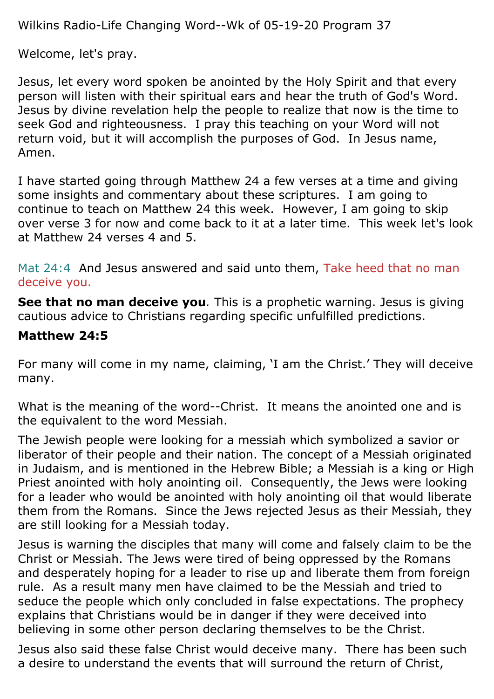Wilkins Radio-Life Changing Word--Wk of 05-19-20 Program 37

Welcome, let's pray.

Jesus, let every word spoken be anointed by the Holy Spirit and that every person will listen with their spiritual ears and hear the truth of God's Word. Jesus by divine revelation help the people to realize that now is the time to seek God and righteousness. I pray this teaching on your Word will not return void, but it will accomplish the purposes of God. In Jesus name, Amen.

I have started going through Matthew 24 a few verses at a time and giving some insights and commentary about these scriptures. I am going to continue to teach on Matthew 24 this week. However, I am going to skip over verse 3 for now and come back to it at a later time. This week let's look at Matthew 24 verses 4 and 5.

Mat 24:4 And Jesus answered and said unto them, Take heed that no man deceive you.

**See that no man deceive you**. This is a prophetic warning. Jesus is giving cautious advice to Christians regarding specific unfulfilled predictions.

### **Matthew 24:5**

For many will come in my name, claiming, 'I am the Christ.' They will deceive many.

What is the meaning of the word--Christ. It means the anointed one and is the equivalent to the word Messiah.

The Jewish people were looking for a messiah which symbolized a savior or liberator of their people and their nation. The concept of a Messiah originated in Judaism, and is mentioned in the Hebrew Bible; a Messiah is a king or High Priest anointed with holy anointing oil. Consequently, the Jews were looking for a leader who would be anointed with holy anointing oil that would liberate them from the Romans. Since the Jews rejected Jesus as their Messiah, they are still looking for a Messiah today.

Jesus is warning the disciples that many will come and falsely claim to be the Christ or Messiah. The Jews were tired of being oppressed by the Romans and desperately hoping for a leader to rise up and liberate them from foreign rule. As a result many men have claimed to be the Messiah and tried to seduce the people which only concluded in false expectations. The prophecy explains that Christians would be in danger if they were deceived into believing in some other person declaring themselves to be the Christ.

Jesus also said these false Christ would deceive many. There has been such a desire to understand the events that will surround the return of Christ,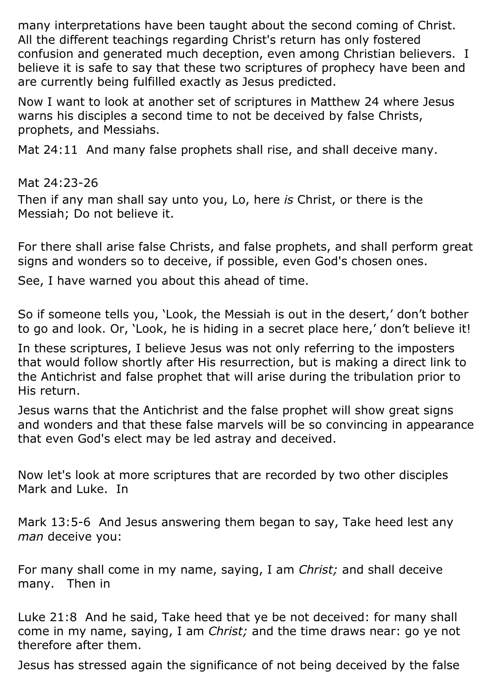many interpretations have been taught about the second coming of Christ. All the different teachings regarding Christ's return has only fostered confusion and generated much deception, even among Christian believers. I believe it is safe to say that these two scriptures of prophecy have been and are currently being fulfilled exactly as Jesus predicted.

Now I want to look at another set of scriptures in Matthew 24 where Jesus warns his disciples a second time to not be deceived by false Christs, prophets, and Messiahs.

Mat 24:11 And many false prophets shall rise, and shall deceive many.

Mat 24:23-26

Then if any man shall say unto you, Lo, here *is* Christ, or there is the Messiah; Do not believe it.

For there shall arise false Christs, and false prophets, and shall perform great signs and wonders so to deceive, if possible, even God's chosen ones.

See, I have warned you about this ahead of time.

So if someone tells you, 'Look, the Messiah is out in the desert,' don't bother to go and look. Or, 'Look, he is hiding in a secret place here,' don't believe it!

In these scriptures, I believe Jesus was not only referring to the imposters that would follow shortly after His resurrection, but is making a direct link to the Antichrist and false prophet that will arise during the tribulation prior to His return.

Jesus warns that the Antichrist and the false prophet will show great signs and wonders and that these false marvels will be so convincing in appearance that even God's elect may be led astray and deceived.

Now let's look at more scriptures that are recorded by two other disciples Mark and Luke. In

Mark 13:5-6 And Jesus answering them began to say, Take heed lest any *man* deceive you:

For many shall come in my name, saying, I am *Christ;* and shall deceive many. Then in

Luke 21:8 And he said, Take heed that ye be not deceived: for many shall come in my name, saying, I am *Christ;* and the time draws near: go ye not therefore after them.

Jesus has stressed again the significance of not being deceived by the false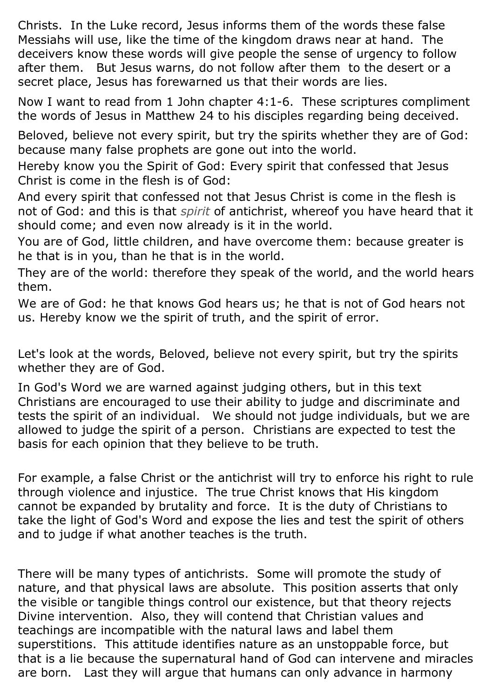Christs. In the Luke record, Jesus informs them of the words these false Messiahs will use, like the time of the kingdom draws near at hand. The deceivers know these words will give people the sense of urgency to follow after them. But Jesus warns, do not follow after them to the desert or a secret place, Jesus has forewarned us that their words are lies.

Now I want to read from 1 John chapter 4:1-6. These scriptures compliment the words of Jesus in Matthew 24 to his disciples regarding being deceived.

Beloved, believe not every spirit, but try the spirits whether they are of God: because many false prophets are gone out into the world.

Hereby know you the Spirit of God: Every spirit that confessed that Jesus Christ is come in the flesh is of God:

And every spirit that confessed not that Jesus Christ is come in the flesh is not of God: and this is that *spirit* of antichrist, whereof you have heard that it should come; and even now already is it in the world.

You are of God, little children, and have overcome them: because greater is he that is in you, than he that is in the world.

They are of the world: therefore they speak of the world, and the world hears them.

We are of God: he that knows God hears us; he that is not of God hears not us. Hereby know we the spirit of truth, and the spirit of error.

Let's look at the words, Beloved, believe not every spirit, but try the spirits whether they are of God.

In God's Word we are warned against judging others, but in this text Christians are encouraged to use their ability to judge and discriminate and tests the spirit of an individual. We should not judge individuals, but we are allowed to judge the spirit of a person. Christians are expected to test the basis for each opinion that they believe to be truth.

For example, a false Christ or the antichrist will try to enforce his right to rule through violence and injustice. The true Christ knows that His kingdom cannot be expanded by brutality and force. It is the duty of Christians to take the light of God's Word and expose the lies and test the spirit of others and to judge if what another teaches is the truth.

There will be many types of antichrists. Some will promote the study of nature, and that physical laws are absolute. This position asserts that only the visible or tangible things control our existence, but that theory rejects Divine intervention. Also, they will contend that Christian values and teachings are incompatible with the natural laws and label them superstitions. This attitude identifies nature as an unstoppable force, but that is a lie because the supernatural hand of God can intervene and miracles are born. Last they will argue that humans can only advance in harmony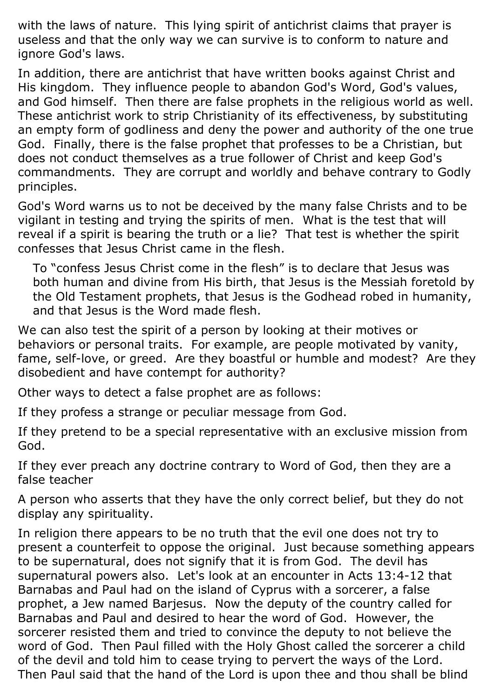with the laws of nature. This lying spirit of antichrist claims that prayer is useless and that the only way we can survive is to conform to nature and ignore God's laws.

In addition, there are antichrist that have written books against Christ and His kingdom. They influence people to abandon God's Word, God's values, and God himself. Then there are false prophets in the religious world as well. These antichrist work to strip Christianity of its effectiveness, by substituting an empty form of godliness and deny the power and authority of the one true God. Finally, there is the false prophet that professes to be a Christian, but does not conduct themselves as a true follower of Christ and keep God's commandments. They are corrupt and worldly and behave contrary to Godly principles.

God's Word warns us to not be deceived by the many false Christs and to be vigilant in testing and trying the spirits of men. What is the test that will reveal if a spirit is bearing the truth or a lie? That test is whether the spirit confesses that Jesus Christ came in the flesh.

To "confess Jesus Christ come in the flesh" is to declare that Jesus was both human and divine from His birth, that Jesus is the Messiah foretold by the Old Testament prophets, that Jesus is the Godhead robed in humanity, and that Jesus is the Word made flesh.

We can also test the spirit of a person by looking at their motives or behaviors or personal traits. For example, are people motivated by vanity, fame, self-love, or greed. Are they boastful or humble and modest? Are they disobedient and have contempt for authority?

Other ways to detect a false prophet are as follows:

If they profess a strange or peculiar message from God.

If they pretend to be a special representative with an exclusive mission from God.

If they ever preach any doctrine contrary to Word of God, then they are a false teacher

A person who asserts that they have the only correct belief, but they do not display any spirituality.

In religion there appears to be no truth that the evil one does not try to present a counterfeit to oppose the original. Just because something appears to be supernatural, does not signify that it is from God. The devil has supernatural powers also. Let's look at an encounter in Acts 13:4-12 that Barnabas and Paul had on the island of Cyprus with a sorcerer, a false prophet, a Jew named Barjesus. Now the deputy of the country called for Barnabas and Paul and desired to hear the word of God. However, the sorcerer resisted them and tried to convince the deputy to not believe the word of God. Then Paul filled with the Holy Ghost called the sorcerer a child of the devil and told him to cease trying to pervert the ways of the Lord. Then Paul said that the hand of the Lord is upon thee and thou shall be blind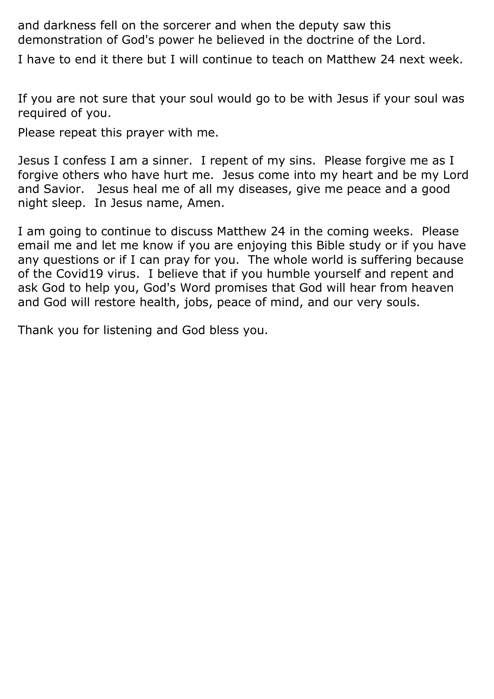and darkness fell on the sorcerer and when the deputy saw this demonstration of God's power he believed in the doctrine of the Lord.

I have to end it there but I will continue to teach on Matthew 24 next week.

If you are not sure that your soul would go to be with Jesus if your soul was required of you.

Please repeat this prayer with me.

Jesus I confess I am a sinner. I repent of my sins. Please forgive me as I forgive others who have hurt me. Jesus come into my heart and be my Lord and Savior. Jesus heal me of all my diseases, give me peace and a good night sleep. In Jesus name, Amen.

I am going to continue to discuss Matthew 24 in the coming weeks. Please email me and let me know if you are enjoying this Bible study or if you have any questions or if I can pray for you. The whole world is suffering because of the Covid19 virus. I believe that if you humble yourself and repent and ask God to help you, God's Word promises that God will hear from heaven and God will restore health, jobs, peace of mind, and our very souls.

Thank you for listening and God bless you.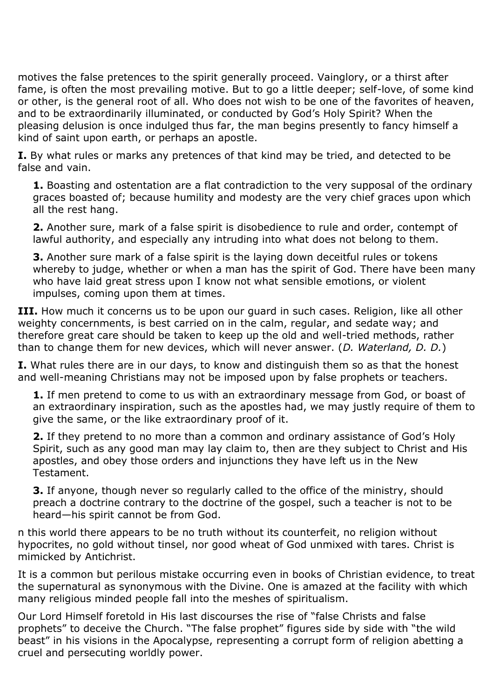motives the false pretences to the spirit generally proceed. Vainglory, or a thirst after fame, is often the most prevailing motive. But to go a little deeper; self-love, of some kind or other, is the general root of all. Who does not wish to be one of the favorites of heaven, and to be extraordinarily illuminated, or conducted by God's Holy Spirit? When the pleasing delusion is once indulged thus far, the man begins presently to fancy himself a kind of saint upon earth, or perhaps an apostle.

**I.** By what rules or marks any pretences of that kind may be tried, and detected to be false and vain.

**1.** Boasting and ostentation are a flat contradiction to the very supposal of the ordinary graces boasted of; because humility and modesty are the very chief graces upon which all the rest hang.

**2.** Another sure, mark of a false spirit is disobedience to rule and order, contempt of lawful authority, and especially any intruding into what does not belong to them.

**3.** Another sure mark of a false spirit is the laying down deceitful rules or tokens whereby to judge, whether or when a man has the spirit of God. There have been many who have laid great stress upon I know not what sensible emotions, or violent impulses, coming upon them at times.

**III.** How much it concerns us to be upon our quard in such cases. Religion, like all other weighty concernments, is best carried on in the calm, regular, and sedate way; and therefore great care should be taken to keep up the old and well-tried methods, rather than to change them for new devices, which will never answer. (*D. Waterland, D. D.*)

**I.** What rules there are in our days, to know and distinguish them so as that the honest and well-meaning Christians may not be imposed upon by false prophets or teachers.

**1.** If men pretend to come to us with an extraordinary message from God, or boast of an extraordinary inspiration, such as the apostles had, we may justly require of them to give the same, or the like extraordinary proof of it.

**2.** If they pretend to no more than a common and ordinary assistance of God's Holy Spirit, such as any good man may lay claim to, then are they subject to Christ and His apostles, and obey those orders and injunctions they have left us in the New Testament.

**3.** If anyone, though never so regularly called to the office of the ministry, should preach a doctrine contrary to the doctrine of the gospel, such a teacher is not to be heard—his spirit cannot be from God.

n this world there appears to be no truth without its counterfeit, no religion without hypocrites, no gold without tinsel, nor good wheat of God unmixed with tares. Christ is mimicked by Antichrist.

It is a common but perilous mistake occurring even in books of Christian evidence, to treat the supernatural as synonymous with the Divine. One is amazed at the facility with which many religious minded people fall into the meshes of spiritualism.

Our Lord Himself foretold in His last discourses the rise of "false Christs and false prophets" to deceive the Church. "The false prophet" figures side by side with "the wild beast" in his visions in the Apocalypse, representing a corrupt form of religion abetting a cruel and persecuting worldly power.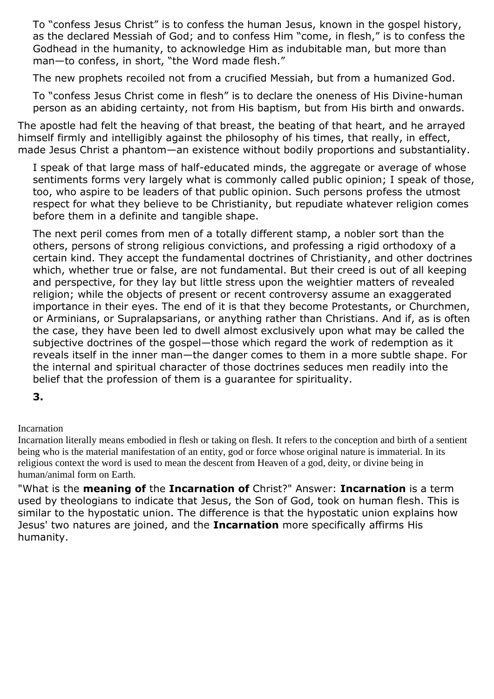To "confess Jesus Christ" is to confess the human Jesus, known in the gospel history, as the declared Messiah of God; and to confess Him "come, in flesh," is to confess the Godhead in the humanity, to acknowledge Him as indubitable man, but more than man—to confess, in short, "the Word made flesh."

The new prophets recoiled not from a crucified Messiah, but from a humanized God.

To "confess Jesus Christ come in flesh" is to declare the oneness of His Divine-human person as an abiding certainty, not from His baptism, but from His birth and onwards.

The apostle had felt the heaving of that breast, the beating of that heart, and he arrayed himself firmly and intelligibly against the philosophy of his times, that really, in effect, made Jesus Christ a phantom—an existence without bodily proportions and substantiality.

I speak of that large mass of half-educated minds, the aggregate or average of whose sentiments forms very largely what is commonly called public opinion; I speak of those, too, who aspire to be leaders of that public opinion. Such persons profess the utmost respect for what they believe to be Christianity, but repudiate whatever religion comes before them in a definite and tangible shape.

The next peril comes from men of a totally different stamp, a nobler sort than the others, persons of strong religious convictions, and professing a rigid orthodoxy of a certain kind. They accept the fundamental doctrines of Christianity, and other doctrines which, whether true or false, are not fundamental. But their creed is out of all keeping and perspective, for they lay but little stress upon the weightier matters of revealed religion; while the objects of present or recent controversy assume an exaggerated importance in their eyes. The end of it is that they become Protestants, or Churchmen, or Arminians, or Supralapsarians, or anything rather than Christians. And if, as is often the case, they have been led to dwell almost exclusively upon what may be called the subjective doctrines of the gospel—those which regard the work of redemption as it reveals itself in the inner man—the danger comes to them in a more subtle shape. For the internal and spiritual character of those doctrines seduces men readily into the belief that the profession of them is a guarantee for spirituality.

**3.** 

Incarnation

Incarnation literally means embodied in flesh or taking on flesh. It refers to the conception and birth of a sentient being who is the material manifestation of an entity, god or force whose original nature is immaterial. In its religious context the word is used to mean the descent from Heaven of a god, deity, or divine being in human/animal form on Earth.

"What is the **meaning of** the **Incarnation of** Christ?" Answer: **Incarnation** is a term used by theologians to indicate that Jesus, the Son of God, took on human flesh. This is similar to the hypostatic union. The difference is that the hypostatic union explains how Jesus' two natures are joined, and the **Incarnation** more specifically affirms His humanity.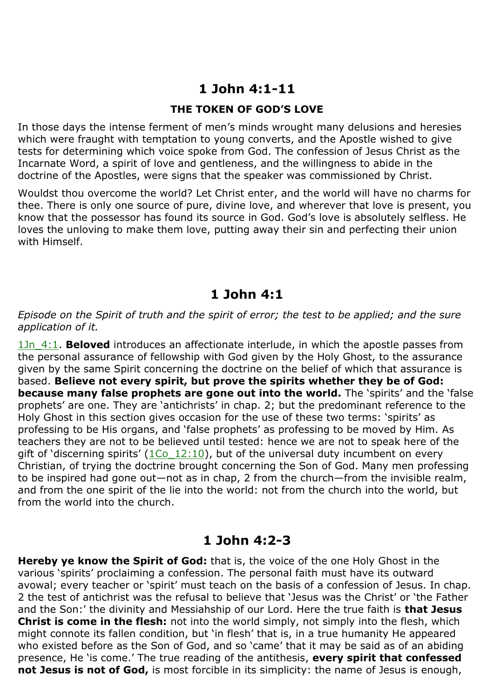# **1 John 4:1-11**

### **THE TOKEN OF GOD'S LOVE**

In those days the intense ferment of men's minds wrought many delusions and heresies which were fraught with temptation to young converts, and the Apostle wished to give tests for determining which voice spoke from God. The confession of Jesus Christ as the Incarnate Word, a spirit of love and gentleness, and the willingness to abide in the doctrine of the Apostles, were signs that the speaker was commissioned by Christ.

Wouldst thou overcome the world? Let Christ enter, and the world will have no charms for thee. There is only one source of pure, divine love, and wherever that love is present, you know that the possessor has found its source in God. God's love is absolutely selfless. He loves the unloving to make them love, putting away their sin and perfecting their union with Himself.

## **1 John 4:1**

#### *Episode on the Spirit of truth and the spirit of error; the test to be applied; and the sure application of it.*

1Jn 4:1. **Beloved** introduces an affectionate interlude, in which the apostle passes from the personal assurance of fellowship with God given by the Holy Ghost, to the assurance given by the same Spirit concerning the doctrine on the belief of which that assurance is based. **Believe not every spirit, but prove the spirits whether they be of God: because many false prophets are gone out into the world.** The 'spirits' and the 'false prophets' are one. They are 'antichrists' in chap. 2; but the predominant reference to the Holy Ghost in this section gives occasion for the use of these two terms: 'spirits' as professing to be His organs, and 'false prophets' as professing to be moved by Him. As teachers they are not to be believed until tested: hence we are not to speak here of the gift of 'discerning spirits' ( $1Co$   $12:10$ ), but of the universal duty incumbent on every Christian, of trying the doctrine brought concerning the Son of God. Many men professing to be inspired had gone out—not as in chap, 2 from the church—from the invisible realm, and from the one spirit of the lie into the world: not from the church into the world, but from the world into the church.

### **1 John 4:2-3**

**Hereby ye know the Spirit of God:** that is, the voice of the one Holy Ghost in the various 'spirits' proclaiming a confession. The personal faith must have its outward avowal; every teacher or 'spirit' must teach on the basis of a confession of Jesus. In chap. 2 the test of antichrist was the refusal to believe that 'Jesus was the Christ' or 'the Father and the Son:' the divinity and Messiahship of our Lord. Here the true faith is **that Jesus Christ is come in the flesh:** not into the world simply, not simply into the flesh, which might connote its fallen condition, but 'in flesh' that is, in a true humanity He appeared who existed before as the Son of God, and so 'came' that it may be said as of an abiding presence, He 'is come.' The true reading of the antithesis, **every spirit that confessed not Jesus is not of God,** is most forcible in its simplicity: the name of Jesus is enough,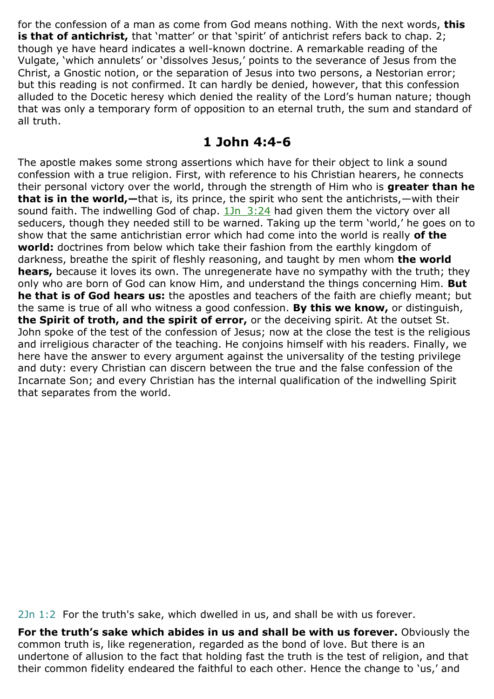for the confession of a man as come from God means nothing. With the next words, **this**  is that of antichrist, that 'matter' or that 'spirit' of antichrist refers back to chap. 2; though ye have heard indicates a well-known doctrine. A remarkable reading of the Vulgate, 'which annulets' or 'dissolves Jesus,' points to the severance of Jesus from the Christ, a Gnostic notion, or the separation of Jesus into two persons, a Nestorian error; but this reading is not confirmed. It can hardly be denied, however, that this confession alluded to the Docetic heresy which denied the reality of the Lord's human nature; though that was only a temporary form of opposition to an eternal truth, the sum and standard of all truth.

# **1 John 4:4-6**

The apostle makes some strong assertions which have for their object to link a sound confession with a true religion. First, with reference to his Christian hearers, he connects their personal victory over the world, through the strength of Him who is **greater than he that is in the world,—**that is, its prince, the spirit who sent the antichrists,—with their sound faith. The indwelling God of chap. 1Jn 3:24 had given them the victory over all seducers, though they needed still to be warned. Taking up the term 'world,' he goes on to show that the same antichristian error which had come into the world is really **of the world:** doctrines from below which take their fashion from the earthly kingdom of darkness, breathe the spirit of fleshly reasoning, and taught by men whom **the world hears,** because it loves its own. The unregenerate have no sympathy with the truth; they only who are born of God can know Him, and understand the things concerning Him. **But he that is of God hears us:** the apostles and teachers of the faith are chiefly meant; but the same is true of all who witness a good confession. **By this we know,** or distinguish, **the Spirit of troth, and the spirit of error,** or the deceiving spirit. At the outset St. John spoke of the test of the confession of Jesus; now at the close the test is the religious and irreligious character of the teaching. He conjoins himself with his readers. Finally, we here have the answer to every argument against the universality of the testing privilege and duty: every Christian can discern between the true and the false confession of the Incarnate Son; and every Christian has the internal qualification of the indwelling Spirit that separates from the world.

2Jn 1:2 For the truth's sake, which dwelled in us, and shall be with us forever.

**For the truth's sake which abides in us and shall be with us forever.** Obviously the common truth is, like regeneration, regarded as the bond of love. But there is an undertone of allusion to the fact that holding fast the truth is the test of religion, and that their common fidelity endeared the faithful to each other. Hence the change to 'us,' and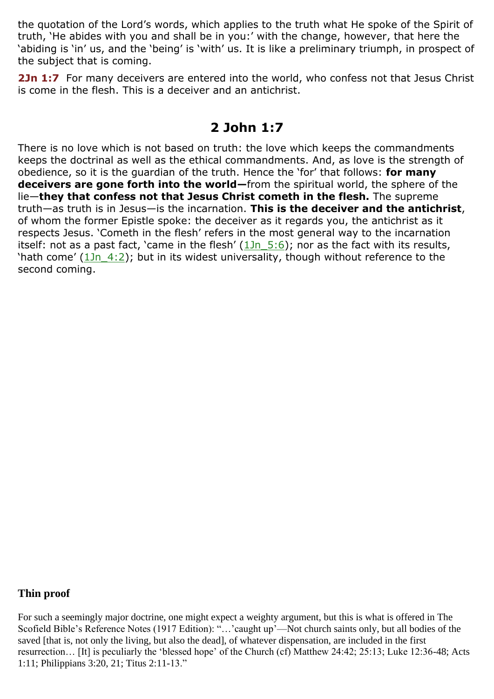the quotation of the Lord's words, which applies to the truth what He spoke of the Spirit of truth, 'He abides with you and shall be in you:' with the change, however, that here the 'abiding is 'in' us, and the 'being' is 'with' us. It is like a preliminary triumph, in prospect of the subject that is coming.

2Jn 1:7 For many deceivers are entered into the world, who confess not that Jesus Christ is come in the flesh. This is a deceiver and an antichrist.

# **2 John 1:7**

There is no love which is not based on truth: the love which keeps the commandments keeps the doctrinal as well as the ethical commandments. And, as love is the strength of obedience, so it is the guardian of the truth. Hence the 'for' that follows: **for many deceivers are gone forth into the world—**from the spiritual world, the sphere of the lie—**they that confess not that Jesus Christ cometh in the flesh.** The supreme truth—as truth is in Jesus—is the incarnation. **This is the deceiver and the antichrist**, of whom the former Epistle spoke: the deceiver as it regards you, the antichrist as it respects Jesus. 'Cometh in the flesh' refers in the most general way to the incarnation itself: not as a past fact, 'came in the flesh'  $(1Jn_5:6)$ ; nor as the fact with its results, 'hath come' (1Jn\_4:2); but in its widest universality, though without reference to the second coming.

### **Thin proof**

For such a seemingly major doctrine, one might expect a weighty argument, but this is what is offered in The Scofield Bible's Reference Notes (1917 Edition): "…'caught up'—Not church saints only, but all bodies of the saved [that is, not only the living, but also the dead], of whatever dispensation, are included in the first resurrection… [It] is peculiarly the 'blessed hope' of the Church (cf) Matthew 24:42; 25:13; Luke 12:36-48; Acts 1:11; Philippians 3:20, 21; Titus 2:11-13."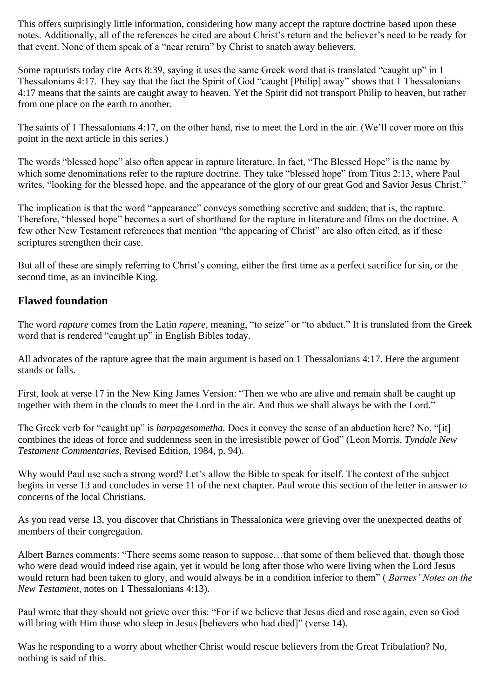This offers surprisingly little information, considering how many accept the rapture doctrine based upon these notes. Additionally, all of the references he cited are about Christ's return and the believer's need to be ready for that event. None of them speak of a "near return" by Christ to snatch away believers.

Some rapturists today cite Acts 8:39, saying it uses the same Greek word that is translated "caught up" in 1 Thessalonians 4:17. They say that the fact the Spirit of God "caught [Philip] away" shows that 1 Thessalonians 4:17 means that the saints are caught away to heaven. Yet the Spirit did not transport Philip to heaven, but rather from one place on the earth to another.

The saints of 1 Thessalonians 4:17, on the other hand, rise to meet the Lord in the air. (We'll cover more on this point in the next article in this series.)

The words "blessed hope" also often appear in rapture literature. In fact, "The Blessed Hope" is the name by which some denominations refer to the rapture doctrine. They take "blessed hope" from Titus 2:13, where Paul writes, "looking for the blessed hope, and the appearance of the glory of our great God and Savior Jesus Christ."

The implication is that the word "appearance" conveys something secretive and sudden; that is, the rapture. Therefore, "blessed hope" becomes a sort of shorthand for the rapture in literature and films on the doctrine. A few other New Testament references that mention "the appearing of Christ" are also often cited, as if these scriptures strengthen their case.

But all of these are simply referring to Christ's coming, either the first time as a perfect sacrifice for sin, or the second time, as an invincible King.

### **Flawed foundation**

The word *rapture* comes from the Latin *rapere,* meaning, "to seize" or "to abduct." It is translated from the Greek word that is rendered "caught up" in English Bibles today.

All advocates of the rapture agree that the main argument is based on 1 Thessalonians 4:17. Here the argument stands or falls.

First, look at verse 17 in the New King James Version: "Then we who are alive and remain shall be caught up together with them in the clouds to meet the Lord in the air. And thus we shall always be with the Lord."

The Greek verb for "caught up" is *harpagesometha.* Does it convey the sense of an abduction here? No, "[it] combines the ideas of force and suddenness seen in the irresistible power of God" (Leon Morris, *Tyndale New Testament Commentaries,* Revised Edition, 1984, p. 94).

Why would Paul use such a strong word? Let's allow the Bible to speak for itself. The context of the subject begins in verse 13 and concludes in verse 11 of the next chapter. Paul wrote this section of the letter in answer to concerns of the local Christians.

As you read verse 13, you discover that Christians in Thessalonica were grieving over the unexpected deaths of members of their congregation.

Albert Barnes comments: "There seems some reason to suppose…that some of them believed that, though those who were dead would indeed rise again, yet it would be long after those who were living when the Lord Jesus would return had been taken to glory, and would always be in a condition inferior to them" ( *Barnes' Notes on the New Testament,* notes on 1 Thessalonians 4:13).

Paul wrote that they should not grieve over this: "For if we believe that Jesus died and rose again, even so God will bring with Him those who sleep in Jesus [believers who had died]" (verse 14).

Was he responding to a worry about whether Christ would rescue believers from the Great Tribulation? No, nothing is said of this.